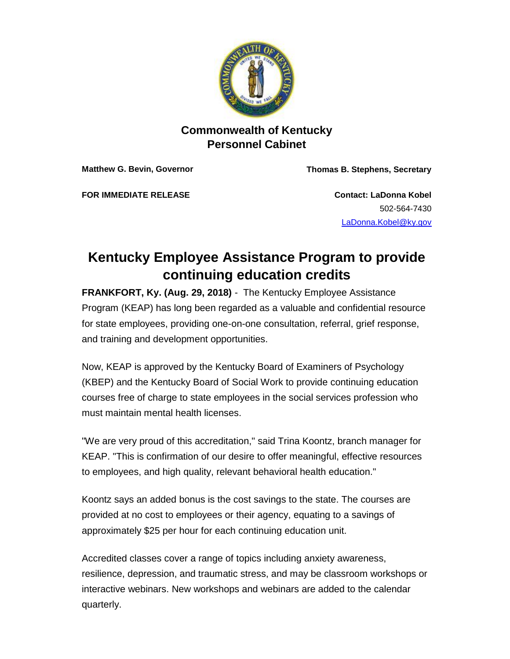

## **Commonwealth of Kentucky Personnel Cabinet**

**Matthew G. Bevin, Governor Thomas B. Stephens, Secretary**

**FOR IMMEDIATE RELEASE Contact: LaDonna Kobel**

502-564-7430 <LaDonna.Kobel@ky.gov>

## **Kentucky Employee Assistance Program to provide continuing education credits**

**FRANKFORT, Ky. (Aug. 29, 2018)** - The Kentucky Employee Assistance Program (KEAP) has long been regarded as a valuable and confidential resource for state employees, providing one-on-one consultation, referral, grief response, and training and development opportunities.

Now, KEAP is approved by the Kentucky Board of Examiners of Psychology (KBEP) and the Kentucky Board of Social Work to provide continuing education courses free of charge to state employees in the social services profession who must maintain mental health licenses.

"We are very proud of this accreditation," said Trina Koontz, branch manager for KEAP. "This is confirmation of our desire to offer meaningful, effective resources to employees, and high quality, relevant behavioral health education."

Koontz says an added bonus is the cost savings to the state. The courses are provided at no cost to employees or their agency, equating to a savings of approximately \$25 per hour for each continuing education unit.

Accredited classes cover a range of topics including anxiety awareness, resilience, depression, and traumatic stress, and may be classroom workshops or interactive webinars. New workshops and webinars are added to the calendar quarterly.